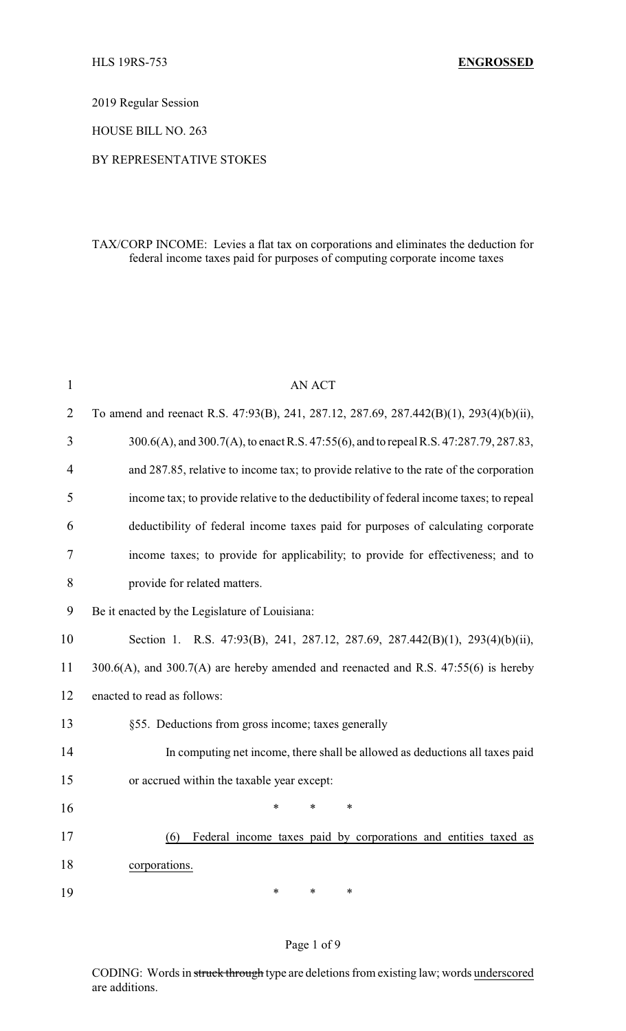2019 Regular Session

HOUSE BILL NO. 263

### BY REPRESENTATIVE STOKES

### TAX/CORP INCOME: Levies a flat tax on corporations and eliminates the deduction for federal income taxes paid for purposes of computing corporate income taxes

| $\mathbf{1}$   | <b>AN ACT</b>                                                                              |  |  |
|----------------|--------------------------------------------------------------------------------------------|--|--|
| $\overline{2}$ | To amend and reenact R.S. 47:93(B), 241, 287.12, 287.69, 287.442(B)(1), 293(4)(b)(ii),     |  |  |
| 3              | 300.6(A), and 300.7(A), to enact R.S. 47:55(6), and to repeal R.S. 47:287.79, 287.83,      |  |  |
| $\overline{4}$ | and 287.85, relative to income tax; to provide relative to the rate of the corporation     |  |  |
| 5              | income tax; to provide relative to the deductibility of federal income taxes; to repeal    |  |  |
| 6              | deductibility of federal income taxes paid for purposes of calculating corporate           |  |  |
| 7              | income taxes; to provide for applicability; to provide for effectiveness; and to           |  |  |
| 8              | provide for related matters.                                                               |  |  |
| 9              | Be it enacted by the Legislature of Louisiana:                                             |  |  |
| 10             | Section 1. R.S. 47:93(B), 241, 287.12, 287.69, 287.442(B)(1), 293(4)(b)(ii),               |  |  |
| 11             | $300.6(A)$ , and $300.7(A)$ are hereby amended and reenacted and R.S. $47:55(6)$ is hereby |  |  |
| 12             | enacted to read as follows:                                                                |  |  |
| 13             | §55. Deductions from gross income; taxes generally                                         |  |  |
| 14             | In computing net income, there shall be allowed as deductions all taxes paid               |  |  |
| 15             | or accrued within the taxable year except:                                                 |  |  |
| 16             | $\ast$<br>*<br>*                                                                           |  |  |
| 17             | Federal income taxes paid by corporations and entities taxed as<br>(6)                     |  |  |
| 18             | corporations.                                                                              |  |  |
| 19             | $\ast$<br>*<br>∗                                                                           |  |  |

#### Page 1 of 9

CODING: Words in struck through type are deletions from existing law; words underscored are additions.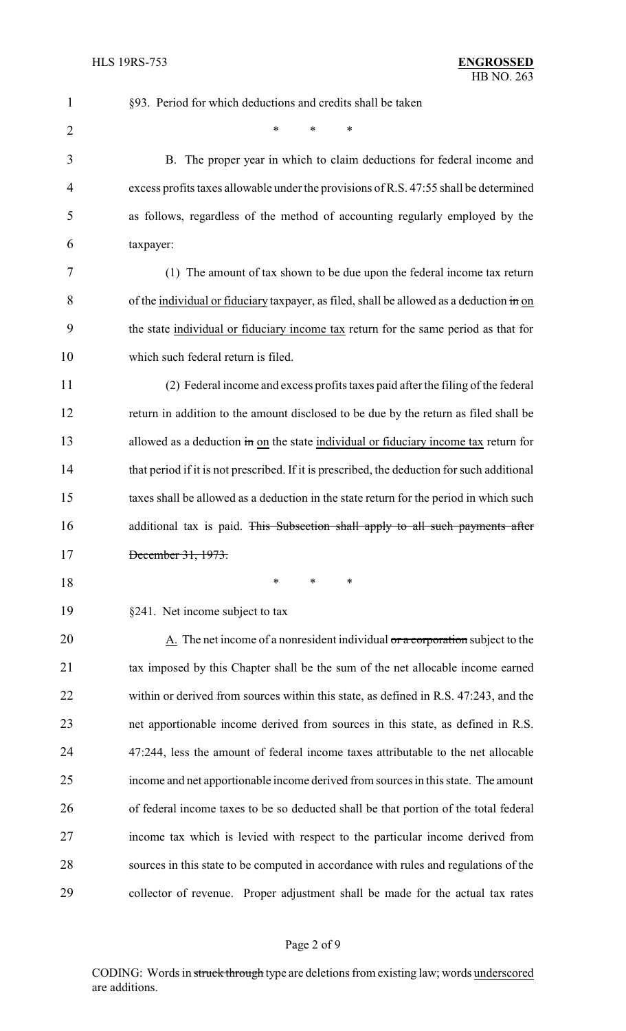| $\mathbf{1}$   | §93. Period for which deductions and credits shall be taken                                 |  |
|----------------|---------------------------------------------------------------------------------------------|--|
| $\overline{2}$ | $\ast$<br>*<br>*                                                                            |  |
| 3              | B. The proper year in which to claim deductions for federal income and                      |  |
| 4              | excess profits taxes allowable under the provisions of R.S. 47:55 shall be determined       |  |
| 5              | as follows, regardless of the method of accounting regularly employed by the                |  |
| 6              | taxpayer:                                                                                   |  |
| 7              | (1) The amount of tax shown to be due upon the federal income tax return                    |  |
| 8              | of the individual or fiduciary taxpayer, as filed, shall be allowed as a deduction in on    |  |
| 9              | the state individual or fiduciary income tax return for the same period as that for         |  |
| 10             | which such federal return is filed.                                                         |  |
| 11             | (2) Federal income and excess profits taxes paid after the filing of the federal            |  |
| 12             | return in addition to the amount disclosed to be due by the return as filed shall be        |  |
| 13             | allowed as a deduction in on the state individual or fiduciary income tax return for        |  |
| 14             | that period if it is not prescribed. If it is prescribed, the deduction for such additional |  |
| 15             | taxes shall be allowed as a deduction in the state return for the period in which such      |  |
| 16             | additional tax is paid. This Subsection shall apply to all such payments after              |  |
| 17             | December 31, 1973.                                                                          |  |
| 18             | ∗<br>∗<br>*                                                                                 |  |
| 19             | §241. Net income subject to tax                                                             |  |
| 20             | A. The net income of a nonresident individual or a corporation subject to the               |  |
| 21             | tax imposed by this Chapter shall be the sum of the net allocable income earned             |  |
| 22             | within or derived from sources within this state, as defined in R.S. 47:243, and the        |  |
| 23             | net apportionable income derived from sources in this state, as defined in R.S.             |  |
| 24             | 47:244, less the amount of federal income taxes attributable to the net allocable           |  |
| 25             | income and net apportionable income derived from sources in this state. The amount          |  |
| 26             | of federal income taxes to be so deducted shall be that portion of the total federal        |  |
| 27             | income tax which is levied with respect to the particular income derived from               |  |
| 28             | sources in this state to be computed in accordance with rules and regulations of the        |  |
| 29             | collector of revenue. Proper adjustment shall be made for the actual tax rates              |  |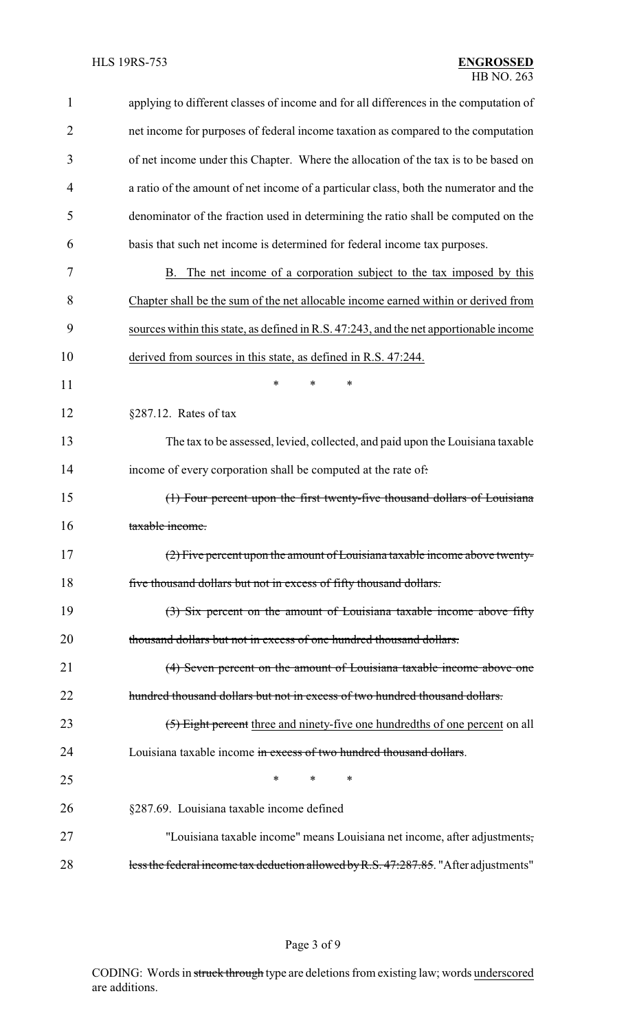| 1              | applying to different classes of income and for all differences in the computation of  |
|----------------|----------------------------------------------------------------------------------------|
| 2              | net income for purposes of federal income taxation as compared to the computation      |
| 3              | of net income under this Chapter. Where the allocation of the tax is to be based on    |
| $\overline{4}$ | a ratio of the amount of net income of a particular class, both the numerator and the  |
| 5              | denominator of the fraction used in determining the ratio shall be computed on the     |
| 6              | basis that such net income is determined for federal income tax purposes.              |
| 7              | The net income of a corporation subject to the tax imposed by this<br>B.               |
| 8              | Chapter shall be the sum of the net allocable income earned within or derived from     |
| 9              | sources within this state, as defined in R.S. 47:243, and the net apportionable income |
| 10             | derived from sources in this state, as defined in R.S. 47:244.                         |
| 11             | *<br>*<br>*                                                                            |
| 12             | $§287.12.$ Rates of tax                                                                |
| 13             | The tax to be assessed, levied, collected, and paid upon the Louisiana taxable         |
| 14             | income of every corporation shall be computed at the rate of.                          |
| 15             | (1) Four percent upon the first twenty-five thousand dollars of Louisiana              |
| 16             | taxable income.                                                                        |
| 17             | (2) Five percent upon the amount of Louisiana taxable income above twenty-             |
| 18             | five thousand dollars but not in excess of fifty thousand dollars.                     |
| 19             | (3) Six percent on the amount of Louisiana taxable income above fifty                  |
| 20             | thousand dollars but not in excess of one hundred thousand dollars.                    |
| 21             | (4) Seven percent on the amount of Louisiana taxable income above one                  |
| 22             | hundred thousand dollars but not in excess of two hundred thousand dollars.            |
| 23             | (5) Eight percent three and ninety-five one hundredths of one percent on all           |
| 24             | Louisiana taxable income in excess of two hundred thousand dollars.                    |
| 25             | *<br>*<br>$\ast$                                                                       |
| 26             | §287.69. Louisiana taxable income defined                                              |
| 27             | "Louisiana taxable income" means Louisiana net income, after adjustments,              |
| 28             | less the federal income tax deduction allowed by R.S. 47:287.85. "After adjustments"   |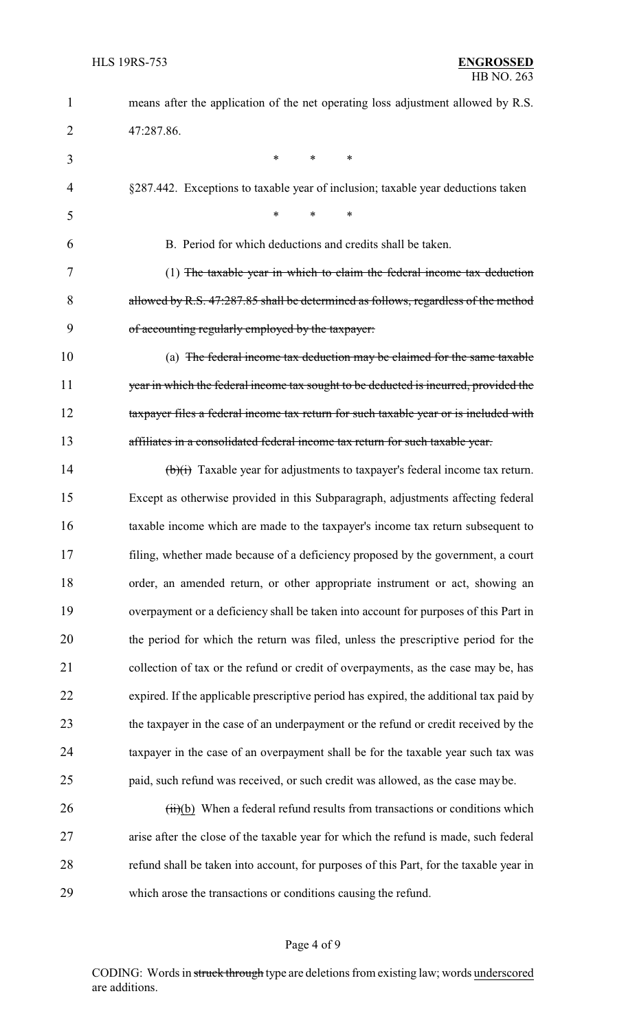| $\mathbf{1}$   | means after the application of the net operating loss adjustment allowed by R.S.             |
|----------------|----------------------------------------------------------------------------------------------|
| $\overline{2}$ | 47:287.86.                                                                                   |
| 3              | *<br>$\ast$<br>$\ast$                                                                        |
| 4              | §287.442. Exceptions to taxable year of inclusion; taxable year deductions taken             |
| 5              | $\ast$<br>$\ast$<br>*                                                                        |
| 6              | B. Period for which deductions and credits shall be taken.                                   |
| 7              | (1) The taxable year in which to claim the federal income tax deduction                      |
| 8              | allowed by R.S. 47:287.85 shall be determined as follows, regardless of the method           |
| 9              | of accounting regularly employed by the taxpayer:                                            |
| 10             | (a) The federal income tax deduction may be claimed for the same taxable                     |
| 11             | year in which the federal income tax sought to be deducted is incurred, provided the         |
| 12             | taxpayer files a federal income tax return for such taxable year or is included with         |
| 13             | affiliates in a consolidated federal income tax return for such taxable year.                |
| 14             | $\overrightarrow{(b)}$ Taxable year for adjustments to taxpayer's federal income tax return. |
| 15             | Except as otherwise provided in this Subparagraph, adjustments affecting federal             |
| 16             | taxable income which are made to the taxpayer's income tax return subsequent to              |
| 17             | filing, whether made because of a deficiency proposed by the government, a court             |
| 18             | order, an amended return, or other appropriate instrument or act, showing an                 |
| 19             | overpayment or a deficiency shall be taken into account for purposes of this Part in         |
| 20             | the period for which the return was filed, unless the prescriptive period for the            |
| 21             | collection of tax or the refund or credit of overpayments, as the case may be, has           |
| 22             | expired. If the applicable prescriptive period has expired, the additional tax paid by       |
| 23             | the taxpayer in the case of an underpayment or the refund or credit received by the          |
| 24             | taxpayer in the case of an overpayment shall be for the taxable year such tax was            |
| 25             | paid, such refund was received, or such credit was allowed, as the case may be.              |
| 26             | $(ii)(b)$ When a federal refund results from transactions or conditions which                |
| 27             | arise after the close of the taxable year for which the refund is made, such federal         |
| 28             | refund shall be taken into account, for purposes of this Part, for the taxable year in       |
| 29             | which arose the transactions or conditions causing the refund.                               |

# Page 4 of 9

CODING: Words in struck through type are deletions from existing law; words underscored are additions.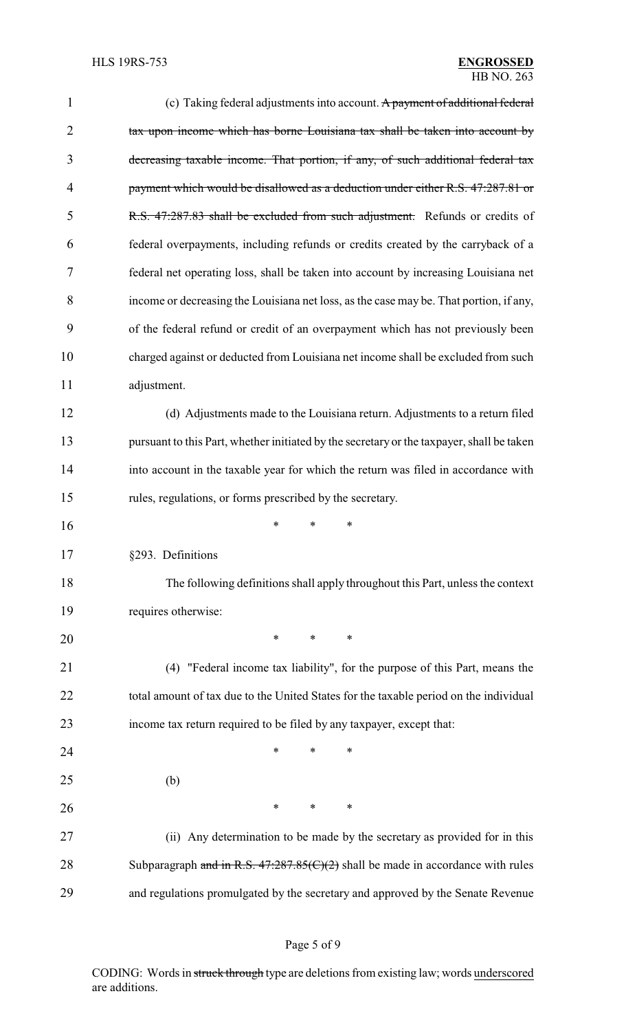| $\mathbf{1}$   | (c) Taking federal adjustments into account. A payment of additional federal              |  |  |
|----------------|-------------------------------------------------------------------------------------------|--|--|
| $\overline{2}$ | tax upon income which has borne Louisiana tax shall be taken into account by              |  |  |
| 3              | decreasing taxable income. That portion, if any, of such additional federal tax           |  |  |
| 4              | payment which would be disallowed as a deduction under either R.S. 47:287.81 or           |  |  |
| 5              | R.S. 47:287.83 shall be excluded from such adjustment. Refunds or credits of              |  |  |
| 6              | federal overpayments, including refunds or credits created by the carryback of a          |  |  |
| 7              | federal net operating loss, shall be taken into account by increasing Louisiana net       |  |  |
| 8              | income or decreasing the Louisiana net loss, as the case may be. That portion, if any,    |  |  |
| 9              | of the federal refund or credit of an overpayment which has not previously been           |  |  |
| 10             | charged against or deducted from Louisiana net income shall be excluded from such         |  |  |
| 11             | adjustment.                                                                               |  |  |
| 12             | (d) Adjustments made to the Louisiana return. Adjustments to a return filed               |  |  |
| 13             | pursuant to this Part, whether initiated by the secretary or the taxpayer, shall be taken |  |  |
| 14             | into account in the taxable year for which the return was filed in accordance with        |  |  |
| 15             | rules, regulations, or forms prescribed by the secretary.                                 |  |  |
| 16             | ∗<br>*<br>∗                                                                               |  |  |
| 17             | §293. Definitions                                                                         |  |  |
| 18             | The following definitions shall apply throughout this Part, unless the context            |  |  |
| 19             | requires otherwise:                                                                       |  |  |
| 20             | $\ast$<br>∗<br>$\ast$                                                                     |  |  |
| 21             | (4) "Federal income tax liability", for the purpose of this Part, means the               |  |  |
| 22             | total amount of tax due to the United States for the taxable period on the individual     |  |  |
| 23             | income tax return required to be filed by any taxpayer, except that:                      |  |  |
| 24             | *<br>*<br>∗                                                                               |  |  |
| 25             | (b)                                                                                       |  |  |
| 26             | ∗<br>∗<br>$\ast$                                                                          |  |  |
| 27             | (ii) Any determination to be made by the secretary as provided for in this                |  |  |
| 28             | Subparagraph and in R.S. $47:287.85(C)(2)$ shall be made in accordance with rules         |  |  |
| 29             | and regulations promulgated by the secretary and approved by the Senate Revenue           |  |  |

# Page 5 of 9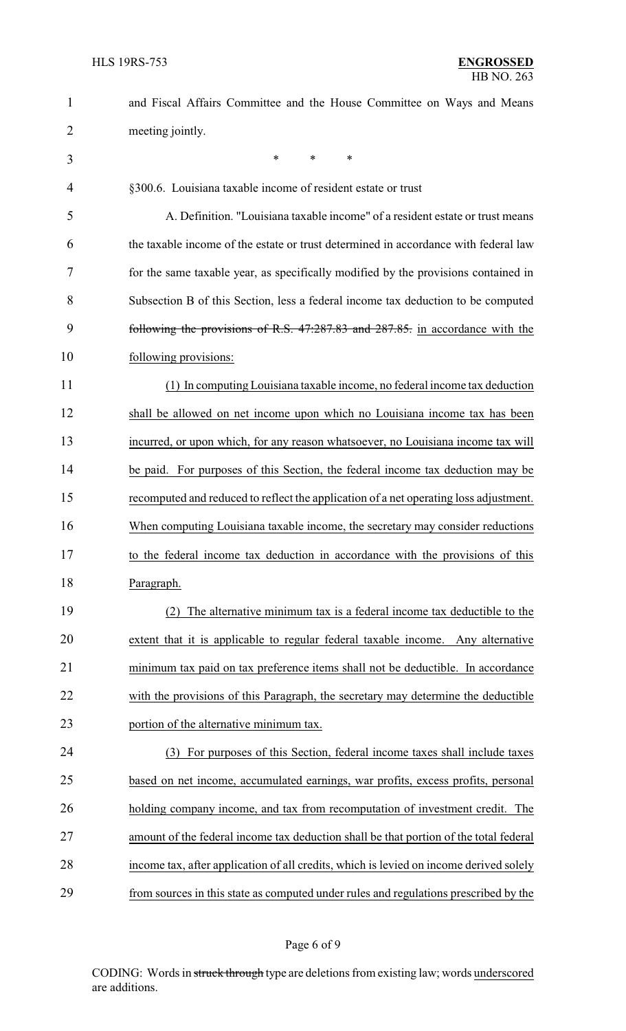| $\mathbf{1}$   | and Fiscal Affairs Committee and the House Committee on Ways and Means                 |
|----------------|----------------------------------------------------------------------------------------|
| $\overline{2}$ | meeting jointly.                                                                       |
| 3              | $\ast$<br>$\ast$<br>*                                                                  |
| $\overline{4}$ | §300.6. Louisiana taxable income of resident estate or trust                           |
| 5              | A. Definition. "Louisiana taxable income" of a resident estate or trust means          |
| 6              | the taxable income of the estate or trust determined in accordance with federal law    |
| 7              | for the same taxable year, as specifically modified by the provisions contained in     |
| 8              | Subsection B of this Section, less a federal income tax deduction to be computed       |
| 9              | following the provisions of R.S. 47:287.83 and 287.85. in accordance with the          |
| 10             | following provisions:                                                                  |
| 11             | (1) In computing Louisiana taxable income, no federal income tax deduction             |
| 12             | shall be allowed on net income upon which no Louisiana income tax has been             |
| 13             | incurred, or upon which, for any reason whatsoever, no Louisiana income tax will       |
| 14             | be paid. For purposes of this Section, the federal income tax deduction may be         |
| 15             | recomputed and reduced to reflect the application of a net operating loss adjustment.  |
| 16             | When computing Louisiana taxable income, the secretary may consider reductions         |
| 17             | to the federal income tax deduction in accordance with the provisions of this          |
| 18             | Paragraph.                                                                             |
| 19             | (2) The alternative minimum tax is a federal income tax deductible to the              |
| 20             | extent that it is applicable to regular federal taxable income. Any alternative        |
| 21             | minimum tax paid on tax preference items shall not be deductible. In accordance        |
| 22             | with the provisions of this Paragraph, the secretary may determine the deductible      |
| 23             | portion of the alternative minimum tax.                                                |
| 24             | For purposes of this Section, federal income taxes shall include taxes<br>(3)          |
| 25             | based on net income, accumulated earnings, war profits, excess profits, personal       |
| 26             | holding company income, and tax from recomputation of investment credit. The           |
| 27             | amount of the federal income tax deduction shall be that portion of the total federal  |
| 28             | income tax, after application of all credits, which is levied on income derived solely |
| 29             | from sources in this state as computed under rules and regulations prescribed by the   |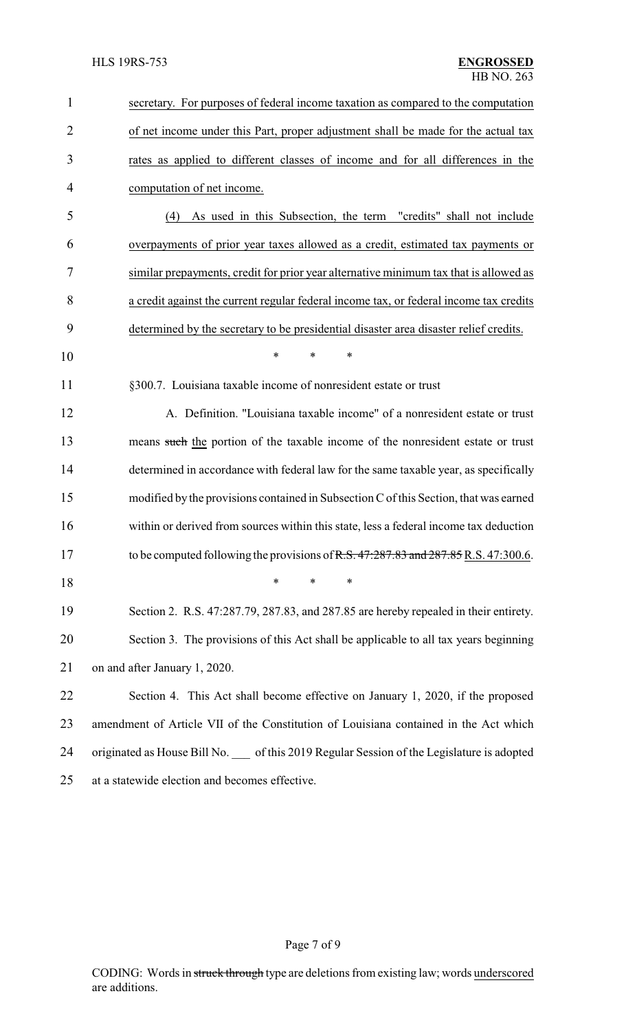| $\mathbf{1}$   | secretary. For purposes of federal income taxation as compared to the computation       |
|----------------|-----------------------------------------------------------------------------------------|
| $\overline{2}$ | of net income under this Part, proper adjustment shall be made for the actual tax       |
| 3              | rates as applied to different classes of income and for all differences in the          |
| 4              | computation of net income.                                                              |
| 5              | As used in this Subsection, the term "credits" shall not include<br>(4)                 |
| 6              | overpayments of prior year taxes allowed as a credit, estimated tax payments or         |
| 7              | similar prepayments, credit for prior year alternative minimum tax that is allowed as   |
| 8              | a credit against the current regular federal income tax, or federal income tax credits  |
| 9              | determined by the secretary to be presidential disaster area disaster relief credits.   |
| 10             | *<br>*<br>$\ast$                                                                        |
| 11             | §300.7. Louisiana taxable income of nonresident estate or trust                         |
| 12             | A. Definition. "Louisiana taxable income" of a nonresident estate or trust              |
| 13             | means such the portion of the taxable income of the nonresident estate or trust         |
| 14             | determined in accordance with federal law for the same taxable year, as specifically    |
| 15             | modified by the provisions contained in Subsection C of this Section, that was earned   |
| 16             | within or derived from sources within this state, less a federal income tax deduction   |
| 17             | to be computed following the provisions of R.S. 47:287.83 and 287.85 R.S. 47:300.6.     |
| 18             | ∗<br>*<br>∗                                                                             |
| 19             | Section 2. R.S. 47:287.79, 287.83, and 287.85 are hereby repealed in their entirety.    |
| 20             | Section 3. The provisions of this Act shall be applicable to all tax years beginning    |
| 21             | on and after January 1, 2020.                                                           |
| 22             | Section 4. This Act shall become effective on January 1, 2020, if the proposed          |
| 23             | amendment of Article VII of the Constitution of Louisiana contained in the Act which    |
| 24             | originated as House Bill No. of this 2019 Regular Session of the Legislature is adopted |
| 25             | at a statewide election and becomes effective.                                          |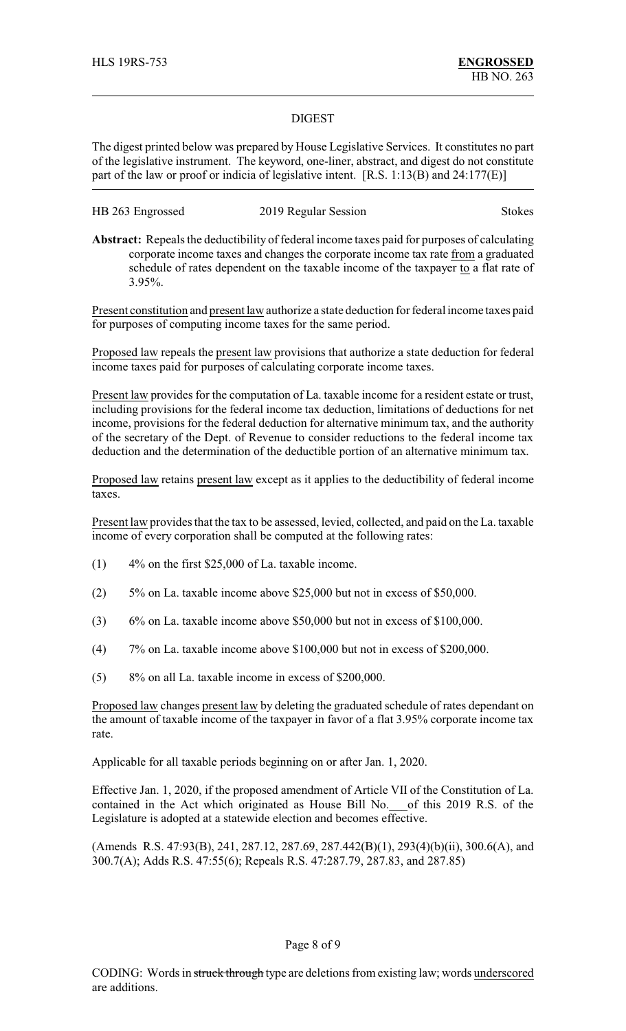#### DIGEST

The digest printed below was prepared by House Legislative Services. It constitutes no part of the legislative instrument. The keyword, one-liner, abstract, and digest do not constitute part of the law or proof or indicia of legislative intent. [R.S. 1:13(B) and 24:177(E)]

| HB 263 Engrossed | 2019 Regular Session | <b>Stokes</b> |
|------------------|----------------------|---------------|
|------------------|----------------------|---------------|

**Abstract:** Repeals the deductibility of federal income taxes paid for purposes of calculating corporate income taxes and changes the corporate income tax rate from a graduated schedule of rates dependent on the taxable income of the taxpayer to a flat rate of 3.95%.

Present constitution and present law authorize a state deduction for federal income taxes paid for purposes of computing income taxes for the same period.

Proposed law repeals the present law provisions that authorize a state deduction for federal income taxes paid for purposes of calculating corporate income taxes.

Present law provides for the computation of La. taxable income for a resident estate or trust, including provisions for the federal income tax deduction, limitations of deductions for net income, provisions for the federal deduction for alternative minimum tax, and the authority of the secretary of the Dept. of Revenue to consider reductions to the federal income tax deduction and the determination of the deductible portion of an alternative minimum tax.

Proposed law retains present law except as it applies to the deductibility of federal income taxes.

Present law provides that the tax to be assessed, levied, collected, and paid on the La. taxable income of every corporation shall be computed at the following rates:

- (1) 4% on the first \$25,000 of La. taxable income.
- (2) 5% on La. taxable income above \$25,000 but not in excess of \$50,000.
- (3) 6% on La. taxable income above \$50,000 but not in excess of \$100,000.
- (4) 7% on La. taxable income above \$100,000 but not in excess of \$200,000.
- (5) 8% on all La. taxable income in excess of \$200,000.

Proposed law changes present law by deleting the graduated schedule of rates dependant on the amount of taxable income of the taxpayer in favor of a flat 3.95% corporate income tax rate.

Applicable for all taxable periods beginning on or after Jan. 1, 2020.

Effective Jan. 1, 2020, if the proposed amendment of Article VII of the Constitution of La. contained in the Act which originated as House Bill No.\_\_\_of this 2019 R.S. of the Legislature is adopted at a statewide election and becomes effective.

(Amends R.S. 47:93(B), 241, 287.12, 287.69, 287.442(B)(1), 293(4)(b)(ii), 300.6(A), and 300.7(A); Adds R.S. 47:55(6); Repeals R.S. 47:287.79, 287.83, and 287.85)